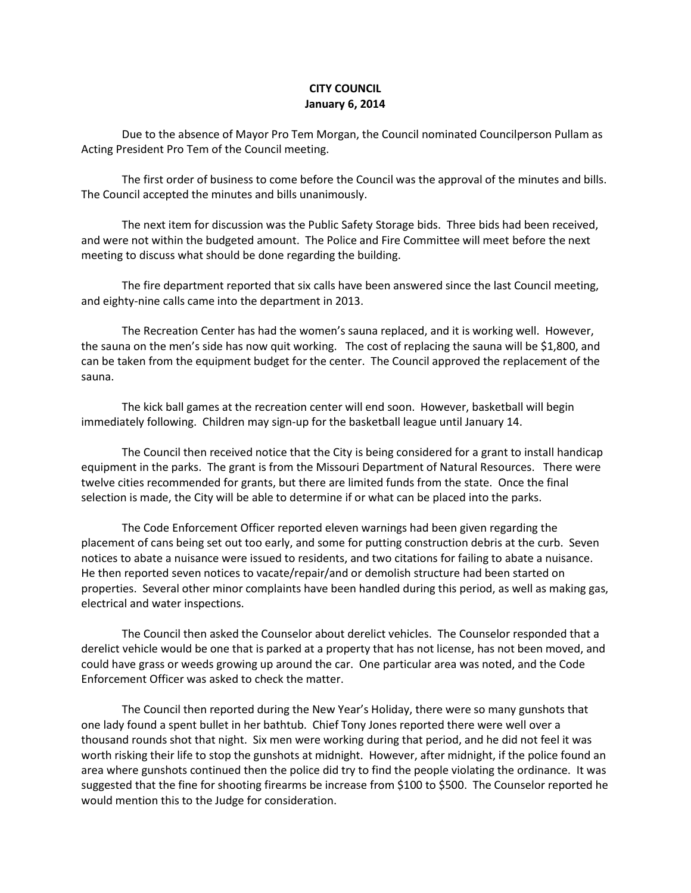## **CITY COUNCIL January 6, 2014**

Due to the absence of Mayor Pro Tem Morgan, the Council nominated Councilperson Pullam as Acting President Pro Tem of the Council meeting.

The first order of business to come before the Council was the approval of the minutes and bills. The Council accepted the minutes and bills unanimously.

The next item for discussion was the Public Safety Storage bids. Three bids had been received, and were not within the budgeted amount. The Police and Fire Committee will meet before the next meeting to discuss what should be done regarding the building.

The fire department reported that six calls have been answered since the last Council meeting, and eighty-nine calls came into the department in 2013.

The Recreation Center has had the women's sauna replaced, and it is working well. However, the sauna on the men's side has now quit working. The cost of replacing the sauna will be \$1,800, and can be taken from the equipment budget for the center. The Council approved the replacement of the sauna.

The kick ball games at the recreation center will end soon. However, basketball will begin immediately following. Children may sign-up for the basketball league until January 14.

The Council then received notice that the City is being considered for a grant to install handicap equipment in the parks. The grant is from the Missouri Department of Natural Resources. There were twelve cities recommended for grants, but there are limited funds from the state. Once the final selection is made, the City will be able to determine if or what can be placed into the parks.

The Code Enforcement Officer reported eleven warnings had been given regarding the placement of cans being set out too early, and some for putting construction debris at the curb. Seven notices to abate a nuisance were issued to residents, and two citations for failing to abate a nuisance. He then reported seven notices to vacate/repair/and or demolish structure had been started on properties. Several other minor complaints have been handled during this period, as well as making gas, electrical and water inspections.

The Council then asked the Counselor about derelict vehicles. The Counselor responded that a derelict vehicle would be one that is parked at a property that has not license, has not been moved, and could have grass or weeds growing up around the car. One particular area was noted, and the Code Enforcement Officer was asked to check the matter.

The Council then reported during the New Year's Holiday, there were so many gunshots that one lady found a spent bullet in her bathtub. Chief Tony Jones reported there were well over a thousand rounds shot that night. Six men were working during that period, and he did not feel it was worth risking their life to stop the gunshots at midnight. However, after midnight, if the police found an area where gunshots continued then the police did try to find the people violating the ordinance. It was suggested that the fine for shooting firearms be increase from \$100 to \$500. The Counselor reported he would mention this to the Judge for consideration.